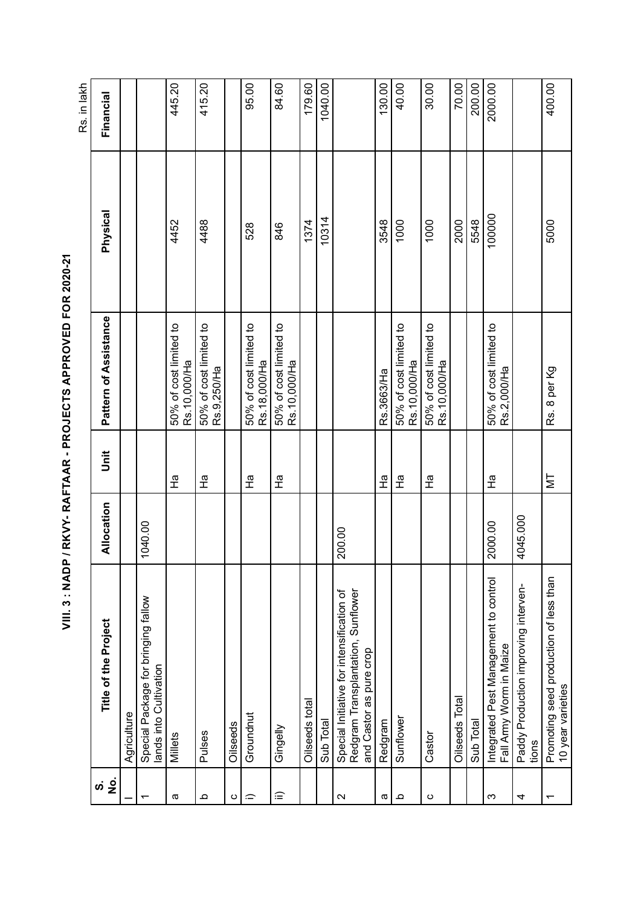| I                        |
|--------------------------|
|                          |
|                          |
|                          |
|                          |
|                          |
| ֠                        |
| $\frac{1}{1}$            |
|                          |
|                          |
|                          |
| I                        |
| <br> <br>                |
|                          |
| Í                        |
| $\frac{1}{1}$            |
|                          |
|                          |
|                          |
| í                        |
|                          |
| $\overline{\phantom{a}}$ |
| I<br>I                   |
|                          |
| -<br>(                   |
| l<br>I                   |
| I                        |
|                          |
|                          |
| ֕<br>I                   |
| ĺ                        |
| ı                        |
|                          |
|                          |
|                          |
|                          |
| ;<br>;<br>;              |
| I                        |
| I                        |
| ť                        |
|                          |
|                          |
| i<br>ſ                   |
|                          |
|                          |
|                          |
| ı                        |
|                          |
| - 11<br>- 1              |
|                          |
|                          |
|                          |
|                          |

445.20 415.20 400.00 95.00 84.60 179.60 130.00  $40.00$ 30.00 70.00 200.00  $\frac{2000.00}{2000.00}$ Rs. in lakh 1040.00 Rs. in lakh 4452 445.20 4488 415.20 528 95.00 846 84.60 Oilseeds total 1374 179.60 Sub Total 10314 10314 1032 1040.000 1040.000 1040.000 1040.000 1040.000 1040.000 1040.000 1040.000 1 a Redgram Redgram Ha Ruk630Ks.366.37Ha Ha Ruk630Ks.366.37Ha Ha Ruk 3548 130.00 1000 40.000 40.000  $1000$ Oilseeds Total 2000 70.00 Sub Total 5548 200.00 100000 2000.00  $\overline{O}$  and  $\overline{O}$   $\overline{O}$  and  $\overline{O}$   $\overline{O}$   $\overline{O}$   $\overline{O}$   $\overline{O}$   $\overline{O}$   $\overline{O}$   $\overline{O}$   $\overline{O}$   $\overline{O}$   $\overline{O}$   $\overline{O}$   $\overline{O}$   $\overline{O}$   $\overline{O}$   $\overline{O}$   $\overline{O}$   $\overline{O}$   $\overline{O}$   $\overline{O}$   $\overline{O$ Financial **No. Title of the Project Allocation Unit Pattern of Assistance Physical Financial** Physical 100000 10314 4452 4488 1374 3548 1000 2000 5548 5000 1000 528 846 Pattern of Assistance a I Millets Ha Ha Fa Bo% of cost limited to 50% of cost limited to<br>Rs.9,250/Ha Pulses Ha 50% of cost limited to i) Groundnut Ha 50% of cost limited to sensus Ha 50% of cost limited to 50% of cost limited to 50% of cost limited to ii) Gingelly Ha 50% of cost limited to Sunflower Ha 50% of cost limited to Castor Ha 50% of cost limited to 50% of cost limited to<br>Rs.2,000/Ha 2000.00 Ha 50% of cost limited to 50% of cost limited to 50% of cost limited to<br>Rs.18,000/Ha 50% of cost limited to<br>Rs.10,000/Ha 50% of cost limited to<br>Rs.10,000/Ha 50% of cost limited to<br>Rs.10,000/Ha Rs.10,000/Ha Rs.10,000/Ha Rs.18,000/Ha Rs.10,000/Ha Rs.10,000/Ha Rs.10,000/Ha Rs. 8 per Kg Rs.3663/Ha Rs.9,250/Ha Rs.2,000/Ha Jnit )<br>고  $\frac{1}{4}$ 오<br>도  $\frac{1}{4}$  $\frac{1}{4}$  $\frac{1}{4}$  $\frac{1}{4}$ 운  $\overline{\mathbb{N}}$ Allocation 4045.000 tions 4045.000 1040.00 2000.00 200.00 Promoting seed production of less than Integrated Pest Management to control Integrated Pest Management to control Promoting seed production of less than Paddy Production improving interven- Paddy Production improving interven-Redgram Transplantation, Sunflower Special Initiative for intensification of Special Initiative for intensification of Redgram Transplantation, Sunflower Special Package for bringing fallow Special Package for bringing fallow Title of the Project Fall Army Worm in Maize Fall Army Worm in Maize and Castor as pure crop and Castor as pure crop ands into Cultivation lands into Cultivation 10 year varieties 10 year varieties **Oilseeds Total Oilseeds total** Agriculture Groundnut Agriculture Sunflower Sub Total Redgram Sub Total Oilseeds Gingelly Oilseeds Pulses Millets Castor tions  $\dot{\omega}$   $\frac{\dot{\omega}}{2}$  $\widehat{=}$ a $\Omega$ c $\equiv$  $\sim$ a $\Omega$ c $\infty$ 4 $\overline{\phantom{0}}$  $\overline{\phantom{0}}$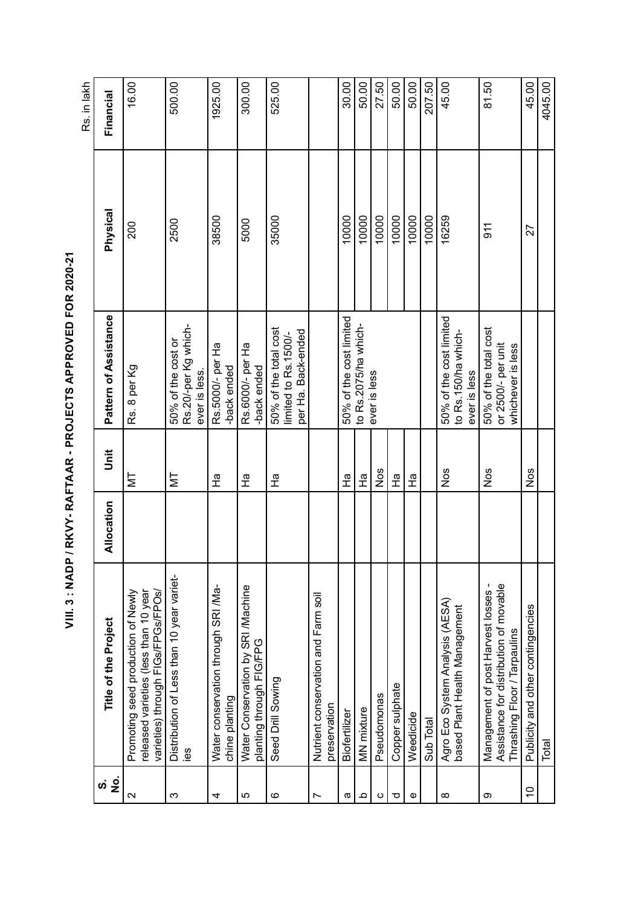1925.00 525.00 16.00 500.00 300.00 30.00 50.00 27.50 50.00  $\frac{60.00}{\frac{1}{2}}$ 207.50 45.00 81.50 45.00 Rs. in lakh Rs. in lakh MT Rs. 8 per Kg  $200$  200 ever is less. 2500 500.00 chine planting Ha Rs.5000/- per Ha -back ended 38500 1925.00 5000 300.00 35000 525.00 10000 |<br>100000 | MN mixture Ha 10000 50.00 Pseudomonas Nos 10000 27.50 Copper sulphate Ha 10000 50.00 Weedicide Ha 10000 50.00 Sub Total 10000 207.50 16259 45.00 911 81.50 10 Publicity and other contingencies Nos 27 45.00 4045.00 Total 4045.000 Protection of the Second Protection of the Second Protection of the Second Protection of the Second Protection of the Second Protection of the Second Protection of the Second Protection of the Second Protect Financial **No. Title of the Project Allocation Unit Pattern of Assistance Physical Financial** Physical 38500 35000 10000 10000 10000 10000 10000 10000 16259 2500 5000 200  $911$ 27 Pattern of Assistance a Biofertilizer Ha Ha 50% of the cost limited Nos 50% of the cost limited 50% of the cost limited 50% of the cost limited to Rs.2075/ha whichies MT 50% of the cost or Rs.20/-per Kg which-Rs.20/-per Kg which-Seed Drill Sowing THa First Solving Solving Seed Drill Solving Seed Drill Solving Solving Solving Solving Solving Solving Solving Solving Solving Solving Solving Solving Solving Solving Solving Solving Solving Solving Solv to Rs.2075/ha which-Nos 50% of the total cost 50% of the total cost 50% of the total cost per Ha. Back-ended imited to Rs.1500/limited to Rs.1500/ per Ha. Back-ended to Rs.150/ha whichto Rs.150/ha which-50% of the cost or Rs.5000/- per Ha Rs.6000/- per Ha Ha Rs.6000/- per Ha or 2500/- per unit or 2500/- per unit whichever is less whichever is less Rs. 8 per Kg -back ended back ended ever is less. -back ended ever is less ever is less ever is less ever is less Unit Nos Nos Nos Nos 오<br>모  $\frac{\sigma}{\tau}$  $\overline{\mathsf{M}}$  $\overline{\Sigma}$  $\frac{a}{\pi}$ の<br>エ 문  $\frac{1}{4}$ m<br>H Allocation Distribution of Less than 10 year variet- Distribution of Less than 10 year variet- Management of post Harvest losses - Assistance for distribution of movable Assistance for distribution of movable 5 Water Conservation by SRI Machine Water Conservation by SRI Machine Water conservation through SRI /Ma- Water conservation through SRI /Ma- Promoting seed production of Newly released varieties (less than 10 year Management of post Harvest losses released varieties (less than 10 year varieties) through FIGs/FPGs/FPOs/ Promoting seed production of Newly varieties) through FIGs/FPGs/FPOs/ 7 **Nutrient conservation and Farm soil** Nutrient conservation and Farm soil Agro Eco System Analysis (AESA) Agro Eco System Analysis (AESA)<br>based Plant Health Management Publicity and other contingencies based Plant Health Management Title of the Project Thrashing Floor / Tarpaulins Thrashing Floor / Tarpaulins planting through FIG/FPG planting through FIG/FPG Seed Drill Sowing Copper sulphate Pseudomonas chine planting preservation preservation **MN** mixture Biofertilizer Weedicide Sub Total Total <u>ള്</u>  $\dot{\mathbf{s}}$   $\frac{\dot{\mathbf{s}}}{\mathbf{z}}$  $\overline{C}$  $\overline{5}$  $\circ$ a $\overline{\mathsf{c}}$ ო 4bcত e $\infty$  $\sigma$  $\check{ }$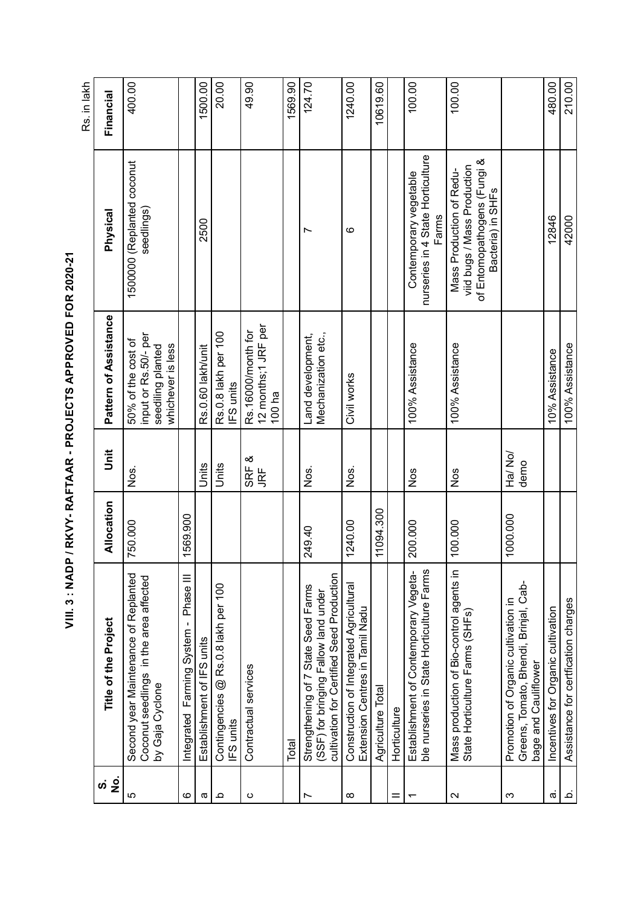| <u>က် ခွဲ</u>     | Title of the Project                                                                                                     | Allocation | $\ddot{5}$             | Pattern of Assistance                                                                | Physical                                                                                                    | Financial |
|-------------------|--------------------------------------------------------------------------------------------------------------------------|------------|------------------------|--------------------------------------------------------------------------------------|-------------------------------------------------------------------------------------------------------------|-----------|
| LO                | Second year Maintenance of Replanted<br>Coconut seedlings in the area affected<br>by Gaja Cyclone                        | 750.000    | Nos.                   | input or Rs.50/- per<br>50% of the cost of<br>whichever is less<br>seediling planted | 150000 (Replanted coconut<br>seedlings)                                                                     | 400.00    |
| ဖ                 | Phase III<br>Integrated Farming System -                                                                                 | 1569.900   |                        |                                                                                      |                                                                                                             |           |
| $\varpi$          | Establishment of IFS units                                                                                               |            | Units                  | Rs.0.60 lakh/unit                                                                    | 2500                                                                                                        | 1500.00   |
| $\Omega$          | Contingencies @ Rs.0.8 lakh per 100<br>FS units                                                                          |            | Units                  | Rs.0.8 lakh per 100<br>FS units                                                      |                                                                                                             | 20.00     |
| $\circ$           | Contractual services                                                                                                     |            | SRF &<br>JRF           | 12 months;1 JRF per<br>Rs.16000/month for<br>100 $ha$                                |                                                                                                             | 49.90     |
|                   | Total                                                                                                                    |            |                        |                                                                                      |                                                                                                             | 1569.90   |
|                   | cultivation for Certified Seed Production<br>Strengthening of 7 State Seed Farms<br>(SSF) for bringing Fallow land under | 249.40     | Nos.                   | Mechanization etc.,<br>Land development,                                             | r                                                                                                           | 124.70    |
| $\infty$          | Construction of Integrated Agricultural<br>Extension Centres in Tamil Nadu                                               | 1240.00    | Nos.                   | Civil works                                                                          | ဖ                                                                                                           | 1240.00   |
|                   | Agriculture Total                                                                                                        | 11094.300  |                        |                                                                                      |                                                                                                             | 10619.60  |
|                   | Horticulture                                                                                                             |            |                        |                                                                                      |                                                                                                             |           |
|                   | ble nurseries in State Horticulture Farms<br>Establishment of Contemporary Vegeta-                                       | 200.000    | Nos                    | 100% Assistance                                                                      | nurseries in 4 State Horticulture<br>Contemporary vegetable<br>Farms                                        | 100.00    |
| $\mathbf{\Omega}$ | Mass production of Bio-control agents in<br>State Horticulture Farms (SHFs)                                              | 100.000    | Nos                    | 100% Assistance                                                                      | of Entomopathogens (Fungi &<br>viid bugs / Mass Production<br>Mass Production of Redu-<br>Bacteria) in SHFs | 100.00    |
| ω                 | Greens, Tomato, Bhendi, Brinjal, Cab-<br>Promotion of Organic cultivation in<br>bage and Cauliflower                     | 1000.000   | <b>Nov /PH</b><br>demo |                                                                                      |                                                                                                             |           |
| $\dot{\varpi}$    | Incentives for Organic cultivation                                                                                       |            |                        | 10% Assistance                                                                       | 12846                                                                                                       | 480.00    |
| .<br>ف            | Assistance for certfication charges                                                                                      |            |                        | 100% Assistance                                                                      | 42000                                                                                                       | 210.00    |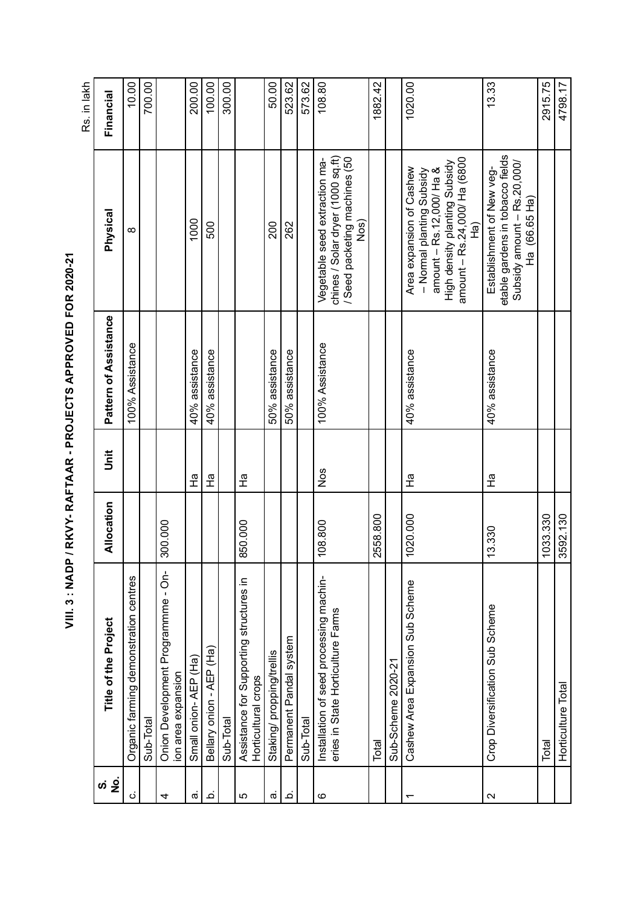|                            |                                                                              |            |        |                       |                                                                                                                                                                | Rs. in lakh |
|----------------------------|------------------------------------------------------------------------------|------------|--------|-----------------------|----------------------------------------------------------------------------------------------------------------------------------------------------------------|-------------|
| $\frac{1}{2}$<br><u>ທ່</u> | Title of the Project                                                         | Allocation | j<br>5 | Pattern of Assistance | Physical                                                                                                                                                       | Financial   |
| $\dot{\circ}$              | Organic farming demonstration centres                                        |            |        | 100% Assistance       | $\infty$                                                                                                                                                       | 10.00       |
|                            | Sub-Total                                                                    |            |        |                       |                                                                                                                                                                | 700.00      |
| 4                          | Onion Development Programmme - On-<br>ion area expansion                     | 300.000    |        |                       |                                                                                                                                                                |             |
| ത്                         | Small onion-AEP (Ha)                                                         |            | 운      | 40% assistance        | 1000                                                                                                                                                           | 200.00      |
| <u>ٰہ</u>                  | Bellary onion - AEP (Ha)                                                     |            | 운      | 40% assistance        | 500                                                                                                                                                            | 100.00      |
|                            | Sub-Total                                                                    |            |        |                       |                                                                                                                                                                | 300.00      |
| 5                          | Assistance for Supporting structures in<br>Horticultural crops               | 850.000    | 운      |                       |                                                                                                                                                                |             |
| $\dot{\varpi}$             | Staking/propping/trellis                                                     |            |        | 50% assistance        | 200                                                                                                                                                            | 50.00       |
| <u>ٰہ</u>                  | Permanent Pandal system                                                      |            |        | 50% assistance        | 262                                                                                                                                                            | 523.62      |
|                            | Sub-Total                                                                    |            |        |                       |                                                                                                                                                                | 573.62      |
| ဖ                          | Installation of seed processing machin-<br>eries in State Horticulture Farms | 108.800    | Nos    | 100% Assistance       | chines / Solar dryer (100 sq.ft)<br>/ Seed packeting machines (50<br>Vegetable seed extraction ma-<br>Nos)                                                     | 108.80      |
|                            | Total                                                                        | 2558.800   |        |                       |                                                                                                                                                                | 1882.42     |
|                            | Sub-Scheme 2020-21                                                           |            |        |                       |                                                                                                                                                                |             |
| ↽                          | Cashew Area Expansion Sub Scheme                                             | 1020.000   | 운      | 40% assistance        | amount - Rs.24,000/ Ha (6800<br>High density planting Subsidy<br>Area expansion of Cashew<br>amount $-$ Rs.12,000/ Ha &<br>- Normal planting Subsidy<br>а<br>Т | 1020.00     |
| $\mathbf{\Omega}$          | Crop Diversification Sub Scheme                                              | 13.330     | 운      | 40% assistance        | etable gardens in tobacco fields<br>Subsidy amount - Rs.20,000/<br>Establishment of New veg-<br>Ha (66.65 Ha)                                                  | 13.33       |
|                            | Total                                                                        | 1033.330   |        |                       |                                                                                                                                                                | 2915.75     |
|                            | Horticulture<br>Total                                                        | 3592.130   |        |                       |                                                                                                                                                                | 4798.17     |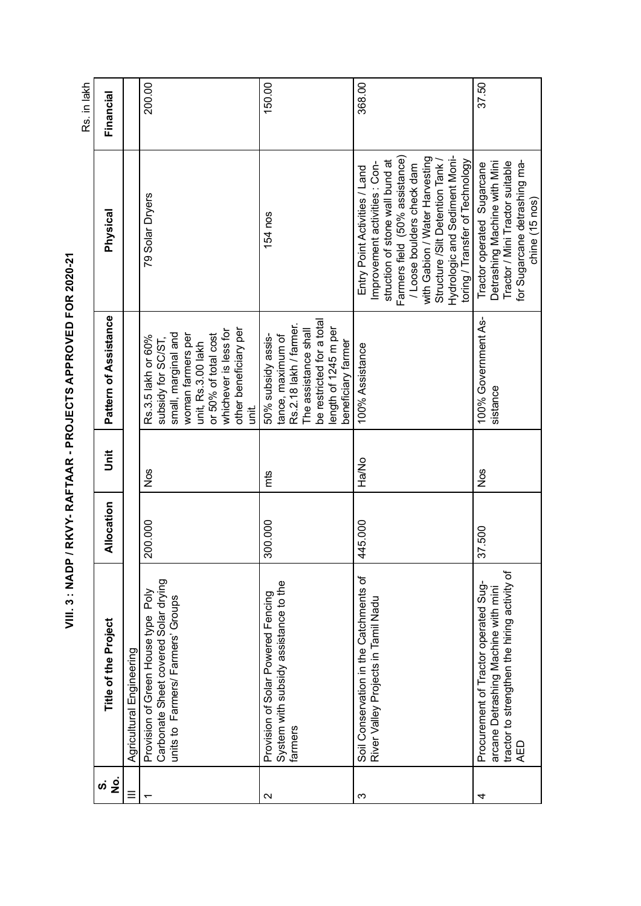|                     |                                                                                                                                           |            |       |                                                                                                                                                                                                   |                                                                                                                                                                                                                                                                                                          | Rs. in lakh |
|---------------------|-------------------------------------------------------------------------------------------------------------------------------------------|------------|-------|---------------------------------------------------------------------------------------------------------------------------------------------------------------------------------------------------|----------------------------------------------------------------------------------------------------------------------------------------------------------------------------------------------------------------------------------------------------------------------------------------------------------|-------------|
| .<br>2<br><u>ທ່</u> | Title of the Project                                                                                                                      | Allocation | jnit  | Pattern of Assistance                                                                                                                                                                             | Physical                                                                                                                                                                                                                                                                                                 | Financial   |
| $\equiv$            | Agricultural Engineering                                                                                                                  |            |       |                                                                                                                                                                                                   |                                                                                                                                                                                                                                                                                                          |             |
|                     | Carbonate Sheet covered Solar drying<br>Poly<br>units to Farmers/Farmers' Groups<br>Provision of Green House type                         | 200.000    | Nos   | other beneficiary per<br>whichever is less for<br>small, marginal and<br>or 50% of total cost<br>woman farmers per<br>Rs.3.5 lakh or 60%<br>subsidy for SC/ST,<br>unit, Rs.3.00 lakh<br>iid.<br>S | 79 Solar Dryers                                                                                                                                                                                                                                                                                          | 200.00      |
| $\mathbf{\Omega}$   | System with subsidy assistance to the<br>Provision of Solar Powered Fencing<br>farmers                                                    | 300.000    | mts   | be restricted for a total<br>Rs.2.18 lakh / farmer.<br>length of 1245 m per<br>The assistance shall<br>50% subsidy assis-<br>tance, maximum of<br>beneficiary farmer                              | 154 nos                                                                                                                                                                                                                                                                                                  | 150.00      |
| ო                   | Soil Conservation in the Catchments of<br>River Valley Projects in Tamil Nadu                                                             | 445.000    | Ha/No | 100% Assistance                                                                                                                                                                                   | Hydrologic and Sediment Moni-<br>-armers field (50% assistance)<br>with Gabion / Water Harvesting<br>toring / Transfer of Technology<br>struction of stone wall bund at<br>Improvement activities: Con-<br>Structure /Silt Detention Tank<br>/ Loose boulders check dam<br>Entry Point Activities / Land | 368.00      |
| 4                   | tractor to strengthen the hiring activity of<br>Procurement of Tractor operated Sug-<br>arcane Detrashing Machine with mini<br><b>AED</b> | 37.500     | Nos   | 100% Government As-<br>sistance                                                                                                                                                                   | for Sugarcane detrashing ma-<br>Detrashing Machine with Mini<br>Tractor / Mini Tractor suitable<br>Tractor operated Sugarcane<br>chine (15 nos)                                                                                                                                                          | 37.50       |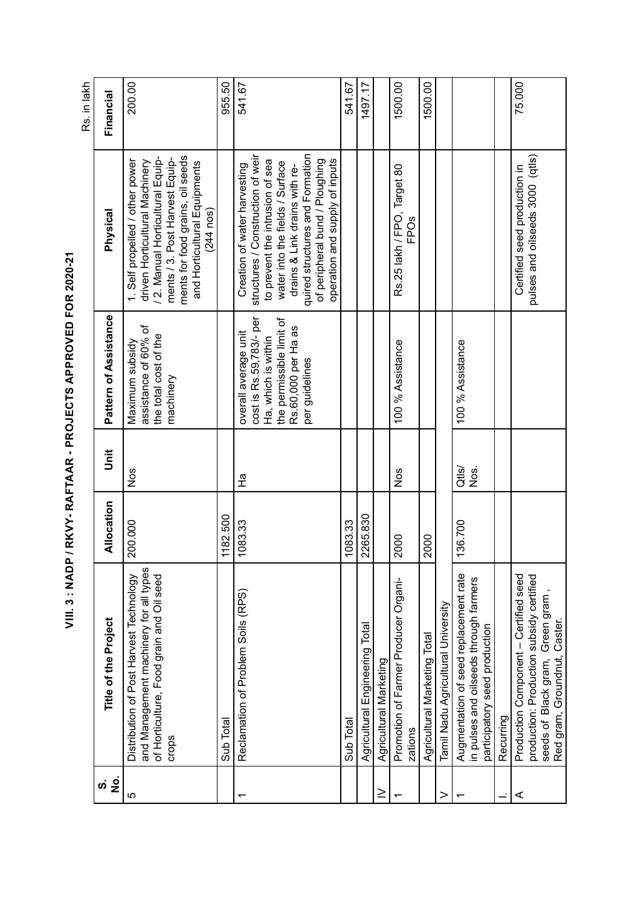| $\frac{1}{2}$<br>ဟ | Title of the Project                                                                                                                                | Allocation | j<br>5           | Pattern of Assistance                                                                                                                       | Physical                                                                                                                                                                                                                                                                        | Financial |
|--------------------|-----------------------------------------------------------------------------------------------------------------------------------------------------|------------|------------------|---------------------------------------------------------------------------------------------------------------------------------------------|---------------------------------------------------------------------------------------------------------------------------------------------------------------------------------------------------------------------------------------------------------------------------------|-----------|
| ပ                  | and Management machinery for all types<br>of Horticulture, Food grain and Oil seed<br>Distribution of Post Harvest Technology<br>crops              | 200.000    | Nos              | assistance of 60% of<br>the total cost of the<br>Maximum subsidy<br>machinery                                                               | ments for food grains, oil seeds<br>/ 2. Manual Horticultural Equip-<br>ments / 3. Post Harvest Equip-<br>1. Self propelled / other power<br>driven Horticultural Machinery<br>and Horticultural Equipments<br>$(244$ nos)                                                      | 200.00    |
|                    | Sub Total                                                                                                                                           | 1182.500   |                  |                                                                                                                                             |                                                                                                                                                                                                                                                                                 | 955.50    |
|                    | Reclamation of Problem Soils (RPS)                                                                                                                  | 1083.33    | m<br>T           | cost is Rs.59,783/- per<br>the permissible limit of<br>Rs.60,000 per Ha as<br>overall average unit<br>Ha, which is within<br>per guidelines | structures / Construction of weir<br>quired structures and Formation<br>operation and supply of inputs<br>of peripheral bund / Ploughing<br>to prevent the intrusion of sea<br>water into the fields / Surface<br>Creation of water harvesting<br>drains & Link drains with re- | 541.67    |
|                    | Sub Total                                                                                                                                           | 1083.33    |                  |                                                                                                                                             |                                                                                                                                                                                                                                                                                 | 541.67    |
|                    | Agricultural Engineering Total                                                                                                                      | 2265.830   |                  |                                                                                                                                             |                                                                                                                                                                                                                                                                                 | 1497.17   |
| ≥                  | Agricultural Marketing                                                                                                                              |            |                  |                                                                                                                                             |                                                                                                                                                                                                                                                                                 |           |
|                    | Promotion of Farmer Producer Organi-<br>zations                                                                                                     | 2000       | Nos              | 100 % Assistance                                                                                                                            | Rs.25 lakh / FPO, Target 80<br>FPOs                                                                                                                                                                                                                                             | 1500.00   |
|                    | Agricultural Marketing Total                                                                                                                        | 2000       |                  |                                                                                                                                             |                                                                                                                                                                                                                                                                                 | 1500.00   |
|                    | Tamil Nadu Agricultural University                                                                                                                  |            |                  |                                                                                                                                             |                                                                                                                                                                                                                                                                                 |           |
|                    | Augmentation of seed replacement rate<br>in pulses and oilseeds through farmers<br>participatory seed production                                    | 136.700    | $Qt$ ls/<br>Nos. | 100 % Assistance                                                                                                                            |                                                                                                                                                                                                                                                                                 |           |
|                    | Recurring                                                                                                                                           |            |                  |                                                                                                                                             |                                                                                                                                                                                                                                                                                 |           |
|                    | Production Component - Certified seed<br>production: Production subsidy certified<br>seeds of Black gram, Green gram<br>Red gram, Groundnut, Caster |            |                  |                                                                                                                                             | pulses and oilseeds 3000 (qtls)<br>Certified seed production in                                                                                                                                                                                                                 | 75.000    |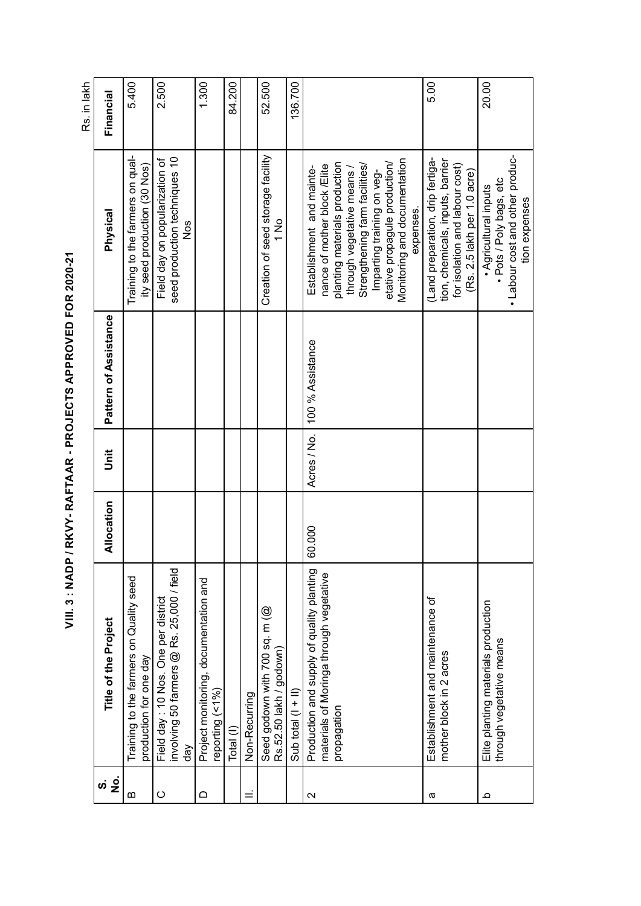| $\dot{\mathbf{z}}$<br>ທ່ | <b>Title of the Project</b>                                                                         | Allocation | jnit        | Pattern of Assistance | Physical                                                                                                                                                                                                                                                           | Financial |
|--------------------------|-----------------------------------------------------------------------------------------------------|------------|-------------|-----------------------|--------------------------------------------------------------------------------------------------------------------------------------------------------------------------------------------------------------------------------------------------------------------|-----------|
| $\Omega$                 | Training to the farmers on Quality seed<br>production for one day                                   |            |             |                       | Training to the farmers on qual-<br>ity seed production (30 Nos)                                                                                                                                                                                                   | 5.400     |
| $\circ$                  | involving 50 farmers @ Rs. 25,000 / field<br>Field day: 10 Nos. One per district<br>$\frac{8}{9}$   |            |             |                       | seed production techniques 10<br>Field day on popularization of<br>Nos                                                                                                                                                                                             | 2.500     |
|                          | Project monitoring, documentation and<br>eporting (<1%)                                             |            |             |                       |                                                                                                                                                                                                                                                                    | 1.300     |
|                          | Total (I)                                                                                           |            |             |                       |                                                                                                                                                                                                                                                                    | 84.200    |
|                          | Non-Recurring                                                                                       |            |             |                       |                                                                                                                                                                                                                                                                    |           |
|                          | Seed godown with 700 sq. m (@<br>Rs.52.50 lakh / godown)                                            |            |             |                       | Creation of seed storage facility<br>$\frac{1}{2}$                                                                                                                                                                                                                 | 52.500    |
|                          | Sub total $(1 + 1)$                                                                                 |            |             |                       |                                                                                                                                                                                                                                                                    | 136.700   |
| $\mathbf{\Omega}$        | Production and supply of quality planting<br>materials of Moringa through vegetative<br>propagation | 60.000     | Acres / No. | 100 % Assistance      | Monitoring and documentation<br>etative propagule production/<br>planting materials production<br>Strengthening farm facilities/<br>nance of mother block/Elite<br>Establishment and mainte-<br>through vegetative means<br>Imparting training on veg-<br>expenses |           |
| ω                        | Establishment and maintenance of<br>mother block in 2 acres                                         |            |             |                       | Land preparation, drip fertiga-<br>tion, chemicals, inputs, barrier<br>for isolation and labour cost)<br>(Rs. 2.5 lakh per 1.0 acre)                                                                                                                               | 5.00      |
| Ω                        | Elite planting materials production<br>through vegetative means                                     |            |             |                       | . Labour cost and other produc-<br>· Pots / Poly bags, etc<br>· Agricultural inputs<br>tion expenses                                                                                                                                                               | 20.00     |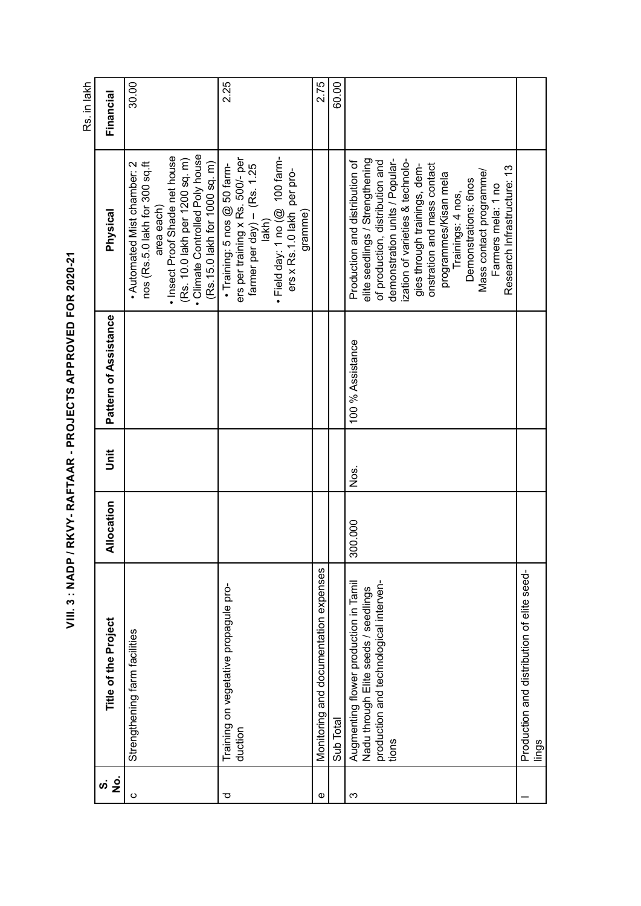| ֚֡֕                   |
|-----------------------|
| I                     |
| ſ                     |
|                       |
| i<br>;<br>;           |
|                       |
| こう くみくしこ くら           |
| ı                     |
| Í<br>I                |
| Í                     |
| -<br>-<br>-<br>-<br>- |
|                       |
|                       |
|                       |
| <b>SSSIE - 165</b>    |
|                       |
| $\ddot{\ddot{\ }}$    |

30.00 2.25 2.75 60.00 Rs. in lakh Rs. in lakh e and documentation expenses and documentation expenses and documentation expenses and  $2.75$ Sub Total 60.00 Financial **No. Title of the Project Allocation Unit Pattern of Assistance Physical Financial** Climate Controlled Poly house • Climate Controlled Poly house • Insect Proof Shade net house • Insect Proof Shade net house duction • Training: 5 nos @ 50 farm- ers per training x Rs. 500/- per elite seedlings / Strengthening • Training: 5 nos @ 50 farm-<br>ers per training x Rs. 500/- per · Field day: 1 no (@ 100 farmdemonstration units / Popular-(Rs. 10.0 lakh per 1200 sq. m) • Field day: 1 no  $(\overline{\omega}$  100 farm-300.000 Nos. 100 % Assistance Production and distribution of elite seedlings / Strengthening of production, distribution and zation of varieties & technolo-• Automated Mist chamber: 2 Strengthening farm facilities • Automated Mist chamber: 2 nos (Rs.5.0 lakh for 300 sq.ft nos (Rs.5.0 lakh for 300 sq.ft (Rs. 10.0 lakh per 1200 sq. m) Production and distribution of of production, distribution and demonstration units / Popularization of varieties & technolo-(Rs.15.0 lakh for 1000 sq. m) onstration and mass contact (Rs.15.0 lakh for 1000 sq. m) farmer per day)  $-$  (Rs. 1.25 farmer per day) – (Rs. 1.25 gies through trainings, demonstration and mass contact Research Infrastructure: 13 gies through trainings, dem-Research Infrastructure: 13 ers x Rs. 1.0 lakh per pro-Mass contact programme/ Mass contact programme/ ers x Rs.1.0 lakh per proprogrammes/Kisan mela programmes/Kisan mela Demonstrations: 6nos Demonstrations: 6nos Farmers mela: 1 no Farmers mela: 1 no Trainings: 4 nos, Trainings: 4 nos, area each) area each) gramme) **Physical** lakh) Pattern of Assistance 100 % Assistance  $\overline{5}$ Nos. Allocation 300.000 Monitoring and documentation expenses Production and distribution of elite seed- Production and distribution of elite seed- Augmenting flower production in Tamil production and technological interven-Augmenting flower production in Tamil production and technological interven-Training on vegetative propagule pro- Training on vegetative propagule pro-Nadu through Elite seeds / seedlings Nadu through Elite seeds / seedlings Title of the Project Strengthening farm facilities Sub Total duction tions lings  $\dot{\mathbf{z}}$  is ced $\infty$  $\overline{\phantom{a}}$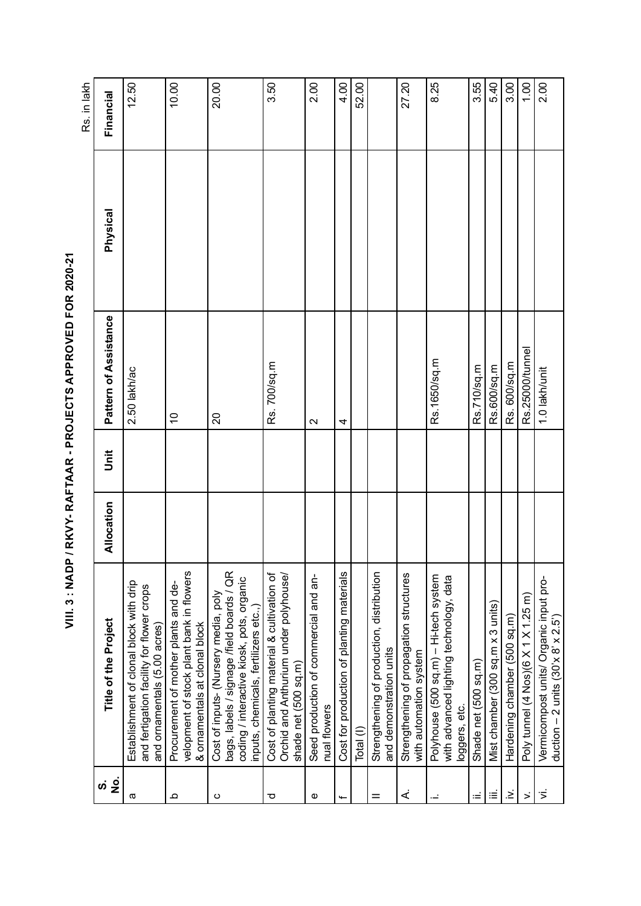| rd see Le                           |
|-------------------------------------|
|                                     |
|                                     |
|                                     |
| i<br>١                              |
| iLicece< ch <licec< td=""></licec<> |
|                                     |
|                                     |
|                                     |
|                                     |
| 」<br>2<br>り                         |
|                                     |
|                                     |
|                                     |
|                                     |
|                                     |
|                                     |
|                                     |
|                                     |
|                                     |
|                                     |
|                                     |
|                                     |
|                                     |
|                                     |
|                                     |
| <b>Contract researchers</b>         |
|                                     |
|                                     |
|                                     |
|                                     |
|                                     |
|                                     |
|                                     |

| $\frac{1}{2}$<br>ഗ | Title of the Project                                                                                                                                                    | Allocation | $\ddot{5}$ | Pattern of Assistance | Physical | Financial |
|--------------------|-------------------------------------------------------------------------------------------------------------------------------------------------------------------------|------------|------------|-----------------------|----------|-----------|
| ω                  | Establishment of clonal block with drip<br>and fertigation facility for flower crops<br>and ornamentals (5.00 acres)                                                    |            |            | 2.50 lakh/ac          |          | 12.50     |
| $\Omega$           | velopment of stock plant bank in flowers<br>Procurement of mother plants and de-<br>& ornamentals at clonal block                                                       |            |            | $\tilde{c}$           |          | 10.00     |
| ပ                  | bags, labels / signage /field boards / QR<br>coding / interactive kiosk, pots, organic<br>Cost of inputs- (Nursery media, poly<br>inputs, chemicals, fertilizers etc.,) |            |            | $\Omega$              |          | 20.00     |
| ᢦ                  | Cost of planting material & cultivation of<br>Orchid and Anthurium under polyhouse/<br>shade net (500 sq.m)                                                             |            |            | Rs. 700/sq.m          |          | 3.50      |
| Ф                  | Seed production of commercial and an-<br>nual flowers                                                                                                                   |            |            | $\mathbf{\Omega}$     |          | 2.00      |
|                    | Cost for production of planting materials                                                                                                                               |            |            | 4                     |          | 4.00      |
|                    | Total (I)                                                                                                                                                               |            |            |                       |          | 52.00     |
|                    | Strengthening of production, distribution<br>and demonstration units                                                                                                    |            |            |                       |          |           |
| ∢                  | Strengthening of propagation structures<br>with automation system                                                                                                       |            |            |                       |          | 27.20     |
|                    | Polyhouse (500 sq.m) - Hi-tech system<br>with advanced lighting technology, data<br>loggers, etc.                                                                       |            |            | Rs.1650/sq.m          |          | 8.25      |
| $\equiv$           | Shade net (500 sq.m)                                                                                                                                                    |            |            | Rs.710/sq.m           |          | 3.55      |
| ≡                  | Mist chamber (300 sq.m x 3 units)                                                                                                                                       |            |            | Rs.600/sq.m           |          | 5.40      |
| خ                  | Hardening chamber (500 sq.m)                                                                                                                                            |            |            | Rs. 600/sq.m          |          | 3.00      |
| $\mathbf{r}$       | Poly tunnel (4 Nos)(6 X 1 X 1.25 m)                                                                                                                                     |            |            | Rs.25000/tunnel       |          | 00.1      |
| ゙゙゚゙               | Vermicompost units/ Organic input pro-<br>duction $-2$ units (30'x 8' x 2.5')                                                                                           |            |            | 1.0 lakh/unit         |          | 2.00      |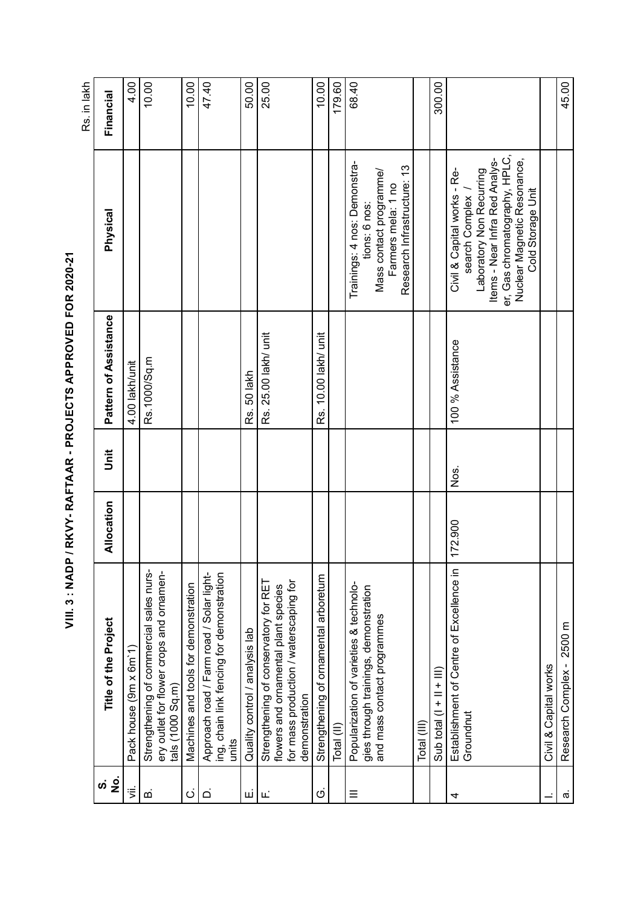|                |                                                                                                                                          |            |        |                       |                                                                                                                                                                                                    | rs. In lakn |
|----------------|------------------------------------------------------------------------------------------------------------------------------------------|------------|--------|-----------------------|----------------------------------------------------------------------------------------------------------------------------------------------------------------------------------------------------|-------------|
| <u>က် ခို</u>  | Title of the Project                                                                                                                     | Allocation | j<br>5 | Pattern of Assistance | Physical                                                                                                                                                                                           | Financial   |
| ξÏ.            | Pack house (9m x 6m 1)                                                                                                                   |            |        | 4.00 lakh/unit        |                                                                                                                                                                                                    | 4.00        |
| മ              | Strengthening of commercial sales nurs-<br>ery outlet for flower crops and ornamen-<br>tals (1000 Sq.m)                                  |            |        | Rs.1000/Sq.m          |                                                                                                                                                                                                    | 10.00       |
| $\dot{\circ}$  | Machines and tools for demonstration                                                                                                     |            |        |                       |                                                                                                                                                                                                    | 10.00       |
| $\overline{a}$ | Approach road / Farm road / Solar light-<br>ing, chain link fencing for demonstration<br>units                                           |            |        |                       |                                                                                                                                                                                                    | 47.40       |
| щ              | Quality control / analysis lab                                                                                                           |            |        | Rs. 50 lakh           |                                                                                                                                                                                                    | 50.00       |
| Щj             | for mass production / waterscaping for<br>Strengthening of conservatory for RET<br>flowers and ornamental plant species<br>demonstration |            |        | Rs. 25.00 lakh/ unit  |                                                                                                                                                                                                    | 25.00       |
| Ö              | Strengthening of ornamental arboretum                                                                                                    |            |        | Rs. 10.00 lakh/ unit  |                                                                                                                                                                                                    | 10.00       |
|                | Total (II)                                                                                                                               |            |        |                       |                                                                                                                                                                                                    | 179.60      |
| Ξ              | Popularization of varieties & technolo-<br>gies through trainings, demonstration<br>and mass contact programmes                          |            |        |                       | Trainings: 4 nos: Demonstra-<br>Research Infrastructure: 13<br>Mass contact programme/<br>Farmers mela: 1 no<br>tions: 6 nos:                                                                      | 68.40       |
|                | Total (III)                                                                                                                              |            |        |                       |                                                                                                                                                                                                    |             |
|                | Sub total $(1 + 11 + 11)$                                                                                                                |            |        |                       |                                                                                                                                                                                                    | 300.00      |
| 4              | Establishment of Centre of Excellence in<br>Groundnut                                                                                    | 172.900    | Χg.    | 100 % Assistance      | er, Gas chromatography, HPLC,<br>Items - Near Infra Red Analys-<br>Nuclear Magnetic Resonance,<br>Laboratory Non Recurring<br>Civil & Capital works - Re-<br>Cold Storage Unit<br>search Complex / |             |
|                | Civil & Capital works                                                                                                                    |            |        |                       |                                                                                                                                                                                                    |             |
| $\bar{\varpi}$ | Research Complex - 2500 m                                                                                                                |            |        |                       |                                                                                                                                                                                                    | 45.00       |

طراحا جز Rs. in lakh  $\overline{a}$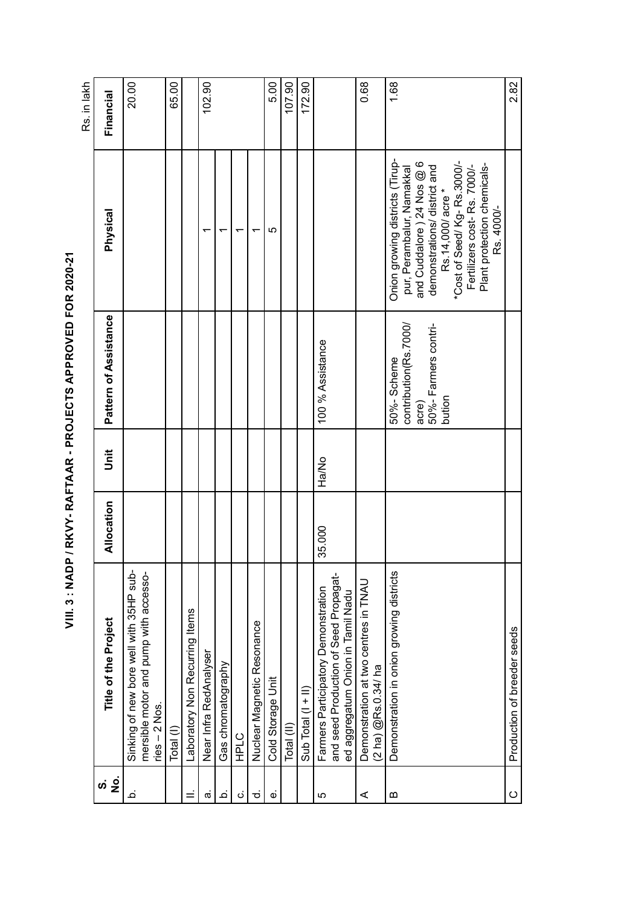| l                   |
|---------------------|
|                     |
| I                   |
|                     |
|                     |
|                     |
|                     |
| is see for the line |
| ١                   |
|                     |
|                     |
|                     |
|                     |
| ĺ                   |
| ֚֚֚֬                |
|                     |
|                     |
|                     |
|                     |
|                     |
|                     |
|                     |
|                     |
|                     |
| こうりょう りょうしょう        |
|                     |
| l                   |
|                     |
|                     |
|                     |
|                     |
|                     |
|                     |
|                     |
|                     |
|                     |
|                     |
|                     |
|                     |
|                     |
| ׇ֠                  |
|                     |
|                     |
|                     |
|                     |
|                     |

65.00  $102.90$ 5.00 107.90 172.90 0.68 1.68 2.82 20.00 Rs. in lakh Rs. in lakh Sinking of new bore well with 35HP sub-<br>mersible motor and pump with accesso-<br>ries – 2 Nos. Total (I) 65.00 a. Near Infra RedAnalyser 1 102.90 | 102.90 | 102.90 | 102.90 | 102.90 | 102.90 | 102.90 | 102.90 | 102.90 | 1 5.00<br>5.00<br>5.00 Total (II) 107.90 Sub Total (I + II) 172.90 C Production of breeder seeds 2.82 Financial **No. Title of the Project Allocation Unit Pattern of Assistance Physical Financial** Onion growing districts (Tirupand Cuddalore ) 24 Nos  $@6$ <br>demonstrations/ district and and Cuddalore ) 24 Nos @ 6 Onion growing districts (Tirupdemonstrations/ district and \*Cost of Seed/ Kg- Rs.3000/ pur, Perambalur, Namakkal 'Cost of Seed/Kg-Rs.3000/-Fertilizers cost-Rs. 7000/-<br>Plant protection chemicals- Plant protection chemicalspur, Perambalur, Namakkal Fertilizers cost- Rs. 7000/- Rs.14,000/acre \* Rs.14,000/ acre \* Rs. 4000/-Rs. 4000/- Physical 5t. Gas chromatography and chromatography 1 c. HPLC 1<br>c. HPLC 1 d. Nuclear Magnetic Resonance – 11 Magnetic Resonance – 11 Magnetic Resonance – 11 Magnetic Resonance – 11 Magnetic Resonance – 11 Magnetic Resonance – 11 Magnetic Resonance – 11 Magnetic Resonance – 11 Magnetic Resonance Pattern of Assistance contribution(Rs.7000/ contribution(Rs.7000/ 50%- Farmers contri-<br>bution 50%- Farmers contri-100 % Assistance 35.000 Ha/No 100 % Assistance 50%-Scheme Demonstration in onion growing districts and server of Solo-Scheme B acre) Unit Ha/No Allocation 35.000 Sinking of new bore well with 35HP sub-Demonstration in onion growing districts b. Sinking of new bore well with 35HP submersible motor and pump with accessomersible motor and pump with accessoand seed Production of Seed Propagatand seed Production of Seed Propagat-A Demonstration at two centres in TNAU Demonstration at two centres in TNAU<br>(2 ha) @Rs.0.34/ ha Farmers Participatory Demonstration Farmers Participatory Demonstration ed aggregatum Onion in Tamil Nadu ed aggregatum Onion in Tamil Nadu Laboratory Non Recurring Items II. Laboratory Non Recurring Items Title of the Project Nuclear Magnetic Resonance Production of breeder seeds Near Infra RedAnalyser Gas chromatography (2 ha) @Rs.0.34/ ha Cold Storage Unit e. Cold Storage Unit Sub Total  $(1 + 1)$  $ries - 2$  Nos. Total (II) Total (I) **HPLC**  $\dot{\mathbf{z}}$  is خ  $\vec{a}$  $\mathbf{D}$  $\circ$ .<br>ف ن ಕ  $\dot{\omega}$  $\overline{5}$ ∢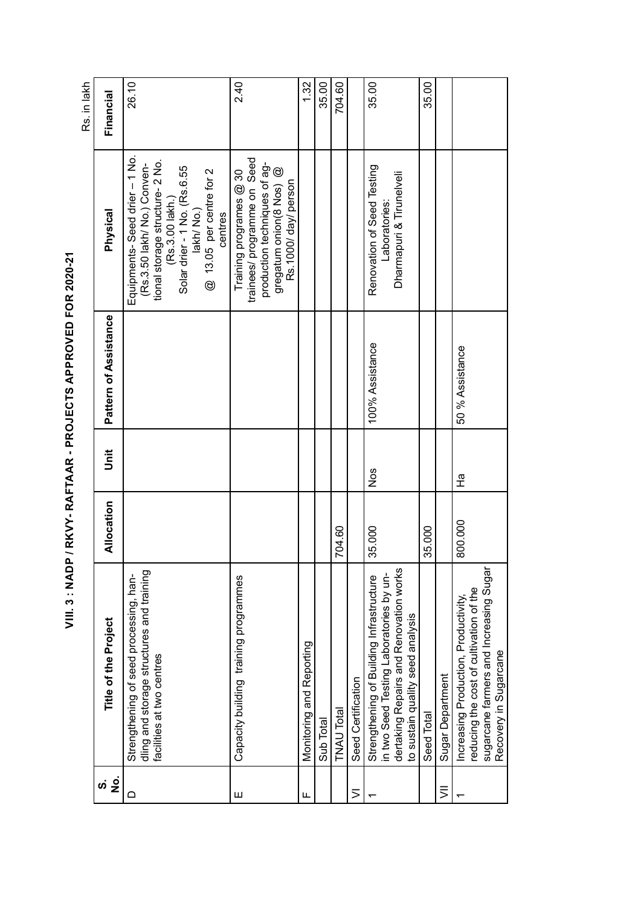| <b>Service Service</b>    |
|---------------------------|
|                           |
| ١                         |
| <b>CONNECTION CHOLICE</b> |
|                           |
|                           |
|                           |
|                           |
|                           |
| I                         |
|                           |
|                           |
|                           |
|                           |
|                           |
|                           |
|                           |
| ֺ֚                        |
|                           |
|                           |
|                           |

26.10 2.40 704.60 35.00 1.32 35.00 35.00 Monitoring and Reporting and Reporting and Reporting 1.32. Sub Total 35.00 TNAU Total 704.60 704.60 Seed Total 35.000 35.00 Financial **No. Title of the Project Allocation Unit Pattern of Assistance Physical Financial** Equipments- Seed drier – 1 No. Equipments-Seed drier - 1 No. trainees/ programme on Seed tional storage structure- 2 No. trainees/ programme on Seed tional storage structure-2 No. production techniques of ag-<br>gregatum onion(8 Nos) @<br>Rs.1000/ day/ person 35.000 Nos 100% Assistance Renovation of Seed Testing (Rs.3.50 lakh/ No.) Conven-Solar drier - 1 No. (Rs.6.55 production techniques of ag-Renovation of Seed Testing (Rs.3.50 lakh/ No.) Conven-Solar drier - 1 No. (Rs.6.55 gregatum onion(8 Nos) @ lakh/ No.)<br>@ 13.05 per centre for 2 @ 13.05 per centre for 2 Training programes @ 30 Capacity building training programmes Training programmes Training programmes Training programmes @ 30 and training training programmes Training training training training training training training training training train Dharmapuri & Tirunelveli Dharmapuri & Tirunelveli Rs.1000/ day/ person (Rs.3.00 lakh.) (Rs.3.00 lakh.) Laboratories: Laboratories: Physical centres Pattern of Assistance 100% Assistance 50 % Assistance 800.000 Ha B0 % Assistance Unit Nos  $\frac{1}{4}$ Allocation 800.000 35.000 35.000 704.60 sugarcane farmers and Increasing Sugar dertaking Repairs and Renovation works dertaking Repairs and Renovation works sugarcane farmers and Increasing Sugar<br>Recovery in Sugarcane dling and storage structures and training dling and storage structures and training Strengthening of Building Infrastructure Strengthening of seed processing, han- Strengthening of Building Infrastructure in two Seed Testing Laboratories by unin two Seed Testing Laboratories by un- Strengthening of seed processing, han-Capacity building training programmes reducing the cost of cultivation of the reducing the cost of cultivation of the 1 Increasing Production, Productivity, Increasing Production, Productivity, to sustain quality seed analysis to sustain quality seed analysis Title of the Project Monitoring and Reporting Recovery in Sugarcane facilities at two centres facilities at two centres Sugar Department Seed Certification VII Sugar Department VI Seed Certification **TNAU Total** Seed Total Sub Total  $\dot{\mathbf{s}}$   $\frac{\dot{\mathbf{s}}}{\mathbf{z}}$  $\equiv$  $\Omega$  $\mathbf{\overline{\mathbf{u}}}$  $\overline{>}$ LL.  $\overline{\phantom{0}}$  $\overline{\phantom{0}}$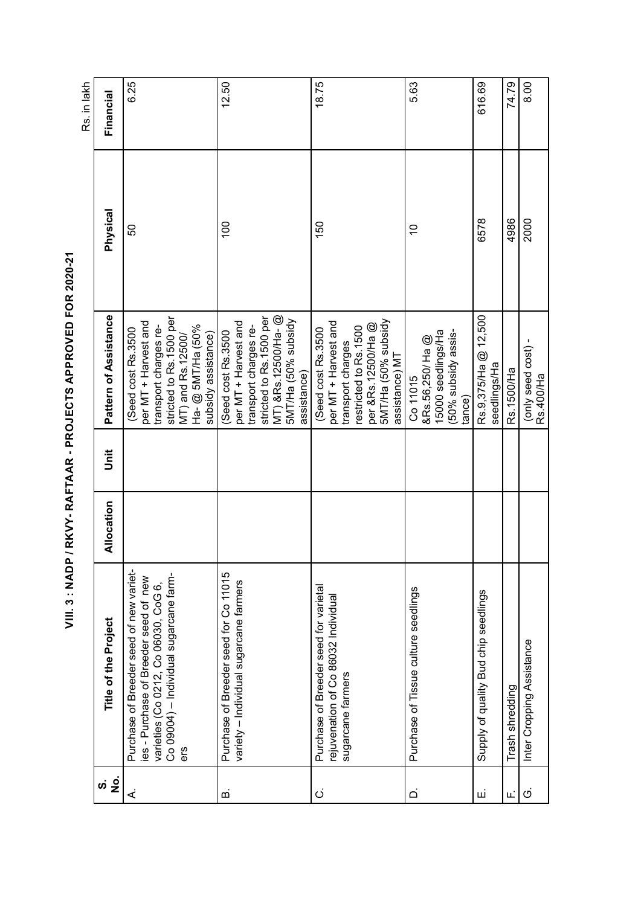| <b>Service Service</b>                                      |
|-------------------------------------------------------------|
| $-222$                                                      |
|                                                             |
| LLNCCCC4 CHCLI CCC                                          |
|                                                             |
|                                                             |
| i                                                           |
| ֖֖֖֖֖֖֖֧֖ׅ֖ׅ֖֖֖֖֖֧֧֖֖֧֚֚֚֚֚֚֚֚֚֚֚֚֚֚֚֚֚֚֚֚֚֚֚֚֚֚֚֚֡֬֝֝֓֞֝֬֝ |
| $\frac{1}{1}$                                               |
|                                                             |
|                                                             |
| $\ddot{\phantom{0}}$                                        |

6.25 12.50 18.75 616.69 74.79 8.00 5.63 50 6.25 100 12.50 150 18.75 10 5.63 6578 616.69 F. Trash shredding 4.79 + 174.79 + 174.79 + 174.79 + 174.79 + 174.79 + 174.79 + 174.79 + 174.79 + 174.79 + 174.79 + 174.79 + 174.79 + 174.79 + 174.79 + 174.79 + 174.79 + 174.79 + 174.79 + 174.79 + 174.79 + 174.79 + 174.79 2000 | 8.00 Financial **No. Title of the Project Allocation Unit Pattern of Assistance Physical Financial** Physical 6578 4986 2000  $100$ 150 50  $\overline{C}$ MT) &Rs.12500/Ha- @ E.  $\blacksquare$  Supply of quality Bud chip seedlings  $\blacksquare$  Rs.9,375/Ha @ 12,500 Pattern of Assistance stricted to Rs.1500 per stricted to Rs.1500 per MT) &Rs. 12500/Ha- @ Rs.9,375/Ha @ 12,500 stricted to Rs.1500 per 5MT/Ha (50% subsidy 5MT/Ha (50% subsidy per MT + Harvest and stricted to Rs.1500 per per MT + Harvest and 5MT/Ha (50% subsidy per MT + Harvest and per MT + Harvest and per &Rs.12500/Ha @ 5MT/Ha (50% subsidy ber MT + Harvest and per MT + Harvest and Ha- @ 5MT/Ha (50% per &Rs.12500/Ha @ transport charges re-На- @ 5MT/На (50% transport charges rerestricted to Rs.1500 (Seed cost Rs.3500 (Seed cost Rs.3500 restricted to Rs.1500 (Seed cost Rs. 3500 transport charges retransport charges re-(Seed cost Rs.3500 (Seed cost Rs.3500 15000 seedlings/Ha Seed cost Rs.3500 15000 seedlings/Ha 50% subsidy assis-MT) and Rs.12500/ subsidy assistance) (50% subsidy assissubsidy assistance) MT) and Rs.12500/ &Rs.56,250/ Ha @ &Rs.56,250/ Ha @ transport charges G. Inter Cropping Assistance (only seed cost) - C. transport charges (only seed cost) assistance) MT assistance) MT seedlings/Ha seedlings/Ha Rs.1500/Ha assistance) Co 11015 assistance)  $D.$  Purchase of Tissue culture seedlings  $\blacksquare$ Rs.400/Ha Rs.400/Ha tance)  $\ddot{5}$ Allocation Purchase of Breeder seed for Co 11015 B. Purchase of Breeder seed for Co 11015 Purchase of Breeder seed of new variet-A. Purchase of Breeder seed of new varieties - Purchase of Breeder seed of new Co 09004) – Individual sugarcane farm-Co 09004) – Individual sugarcane farmes - Purchase of Breeder seed of new varieties (Co 0212, Co 06030, CoG 6, variety - Individual sugarcane farmers variety – Individual sugarcane farmers varieties (Co 0212, Co 06030, CoG 6, C. Purchase of Breeder seed for varietal Purchase of Breeder seed for varietal Purchase of Tissue culture seedlings Supply of quality Bud chip seedlings rejuvenation of Co 86032 Individual rejuvenation of Co 86032 Individual Title of the Project Inter Cropping Assistance sugarcane farmers sugarcane farmers Trash shredding ers  $\dot{\mathbf{z}}$  is خ ഥ ن  $\overline{\Omega}$ шi  $\ddot{\circ}$ Ē.